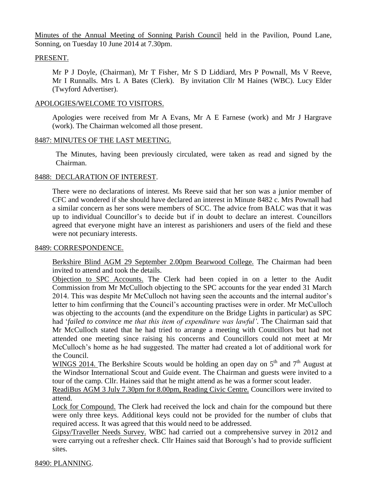Minutes of the Annual Meeting of Sonning Parish Council held in the Pavilion, Pound Lane, Sonning, on Tuesday 10 June 2014 at 7.30pm.

### PRESENT.

Mr P J Doyle, (Chairman), Mr T Fisher, Mr S D Liddiard, Mrs P Pownall, Ms V Reeve, Mr I Runnalls. Mrs L A Bates (Clerk). By invitation Cllr M Haines (WBC). Lucy Elder (Twyford Advertiser).

### APOLOGIES/WELCOME TO VISITORS.

Apologies were received from Mr A Evans, Mr A E Farnese (work) and Mr J Hargrave (work). The Chairman welcomed all those present.

### 8487: MINUTES OF THE LAST MEETING.

The Minutes, having been previously circulated, were taken as read and signed by the Chairman.

# 8488: DECLARATION OF INTEREST.

There were no declarations of interest. Ms Reeve said that her son was a junior member of CFC and wondered if she should have declared an interest in Minute 8482 c. Mrs Pownall had a similar concern as her sons were members of SCC. The advice from BALC was that it was up to individual Councillor's to decide but if in doubt to declare an interest. Councillors agreed that everyone might have an interest as parishioners and users of the field and these were not pecuniary interests.

## 8489: CORRESPONDENCE.

Berkshire Blind AGM 29 September 2.00pm Bearwood College. The Chairman had been invited to attend and took the details.

Objection to SPC Accounts. The Clerk had been copied in on a letter to the Audit Commission from Mr McCulloch objecting to the SPC accounts for the year ended 31 March 2014. This was despite Mr McCulloch not having seen the accounts and the internal auditor's letter to him confirming that the Council's accounting practises were in order. Mr McCulloch was objecting to the accounts (and the expenditure on the Bridge Lights in particular) as SPC had '*failed to convince me that this item of expenditure was lawful'.* The Chairman said that Mr McCulloch stated that he had tried to arrange a meeting with Councillors but had not attended one meeting since raising his concerns and Councillors could not meet at Mr McCulloch's home as he had suggested. The matter had created a lot of additional work for the Council.

WINGS 2014. The Berkshire Scouts would be holding an open day on  $5<sup>th</sup>$  and  $7<sup>th</sup>$  August at the Windsor International Scout and Guide event. The Chairman and guests were invited to a tour of the camp. Cllr. Haines said that he might attend as he was a former scout leader.

ReadiBus AGM 3 July 7.30pm for 8.00pm, Reading Civic Centre. Councillors were invited to attend.

Lock for Compound. The Clerk had received the lock and chain for the compound but there were only three keys. Additional keys could not be provided for the number of clubs that required access. It was agreed that this would need to be addressed.

Gipsy/Traveller Needs Survey. WBC had carried out a comprehensive survey in 2012 and were carrying out a refresher check. Cllr Haines said that Borough's had to provide sufficient sites.

#### 8490: PLANNING.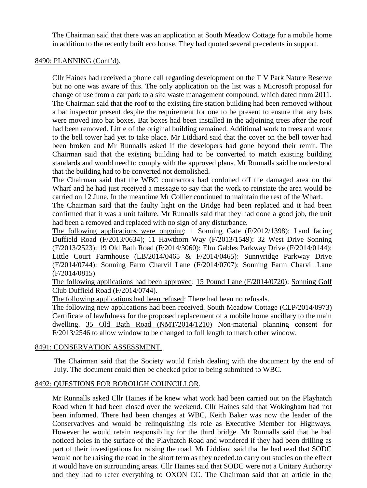The Chairman said that there was an application at South Meadow Cottage for a mobile home in addition to the recently built eco house. They had quoted several precedents in support.

## 8490: PLANNING (Cont'd).

Cllr Haines had received a phone call regarding development on the T V Park Nature Reserve but no one was aware of this. The only application on the list was a Microsoft proposal for change of use from a car park to a site waste management compound, which dated from 2011. The Chairman said that the roof to the existing fire station building had been removed without a bat inspector present despite the requirement for one to be present to ensure that any bats were moved into bat boxes. Bat boxes had been installed in the adjoining trees after the roof had been removed. Little of the original building remained. Additional work to trees and work to the bell tower had yet to take place. Mr Liddiard said that the cover on the bell tower had been broken and Mr Runnalls asked if the developers had gone beyond their remit. The Chairman said that the existing building had to be converted to match existing building standards and would need to comply with the approved plans. Mr Runnalls said he understood that the building had to be converted not demolished.

The Chairman said that the WBC contractors had cordoned off the damaged area on the Wharf and he had just received a message to say that the work to reinstate the area would be carried on 12 June. In the meantime Mr Collier continued to maintain the rest of the Wharf.

The Chairman said that the faulty light on the Bridge had been replaced and it had been confirmed that it was a unit failure. Mr Runnalls said that they had done a good job, the unit had been a removed and replaced with no sign of any disturbance.

The following applications were ongoing: 1 Sonning Gate (F/2012/1398); Land facing Duffield Road (F/2013/0634); 11 Hawthorn Way (F/2013/1549): 32 West Drive Sonning (F/2013/2523): 19 Old Bath Road (F/2014/3060): Elm Gables Parkway Drive (F/2014/0144): Little Court Farmhouse (LB/2014/0465 & F/2014/0465): Sunnyridge Parkway Drive (F/2014/0744): Sonning Farm Charvil Lane (F/2014/0707): Sonning Farm Charvil Lane (F/2014/0815)

The following applications had been approved: 15 Pound Lane (F/2014/0720): Sonning Golf Club Duffield Road (F/2014/0744).

The following applications had been refused: There had been no refusals.

The following new applications had been received. South Meadow Cottage (CLP/2014/0973) Certificate of lawfulness for the proposed replacement of a mobile home ancillary to the main dwelling. 35 Old Bath Road (NMT/2014/1210) Non-material planning consent for F/2013/2546 to allow window to be changed to full length to match other window.

#### 8491: CONSERVATION ASSESSMENT.

The Chairman said that the Society would finish dealing with the document by the end of July. The document could then be checked prior to being submitted to WBC.

# 8492: QUESTIONS FOR BOROUGH COUNCILLOR.

Mr Runnalls asked Cllr Haines if he knew what work had been carried out on the Playhatch Road when it had been closed over the weekend. Cllr Haines said that Wokingham had not been informed. There had been changes at WBC, Keith Baker was now the leader of the Conservatives and would be relinquishing his role as Executive Member for Highways. However he would retain responsibility for the third bridge. Mr Runnalls said that he had noticed holes in the surface of the Playhatch Road and wondered if they had been drilling as part of their investigations for raising the road. Mr Liddiard said that he had read that SODC would not be raising the road in the short term as they needed.to carry out studies on the effect it would have on surrounding areas. Cllr Haines said that SODC were not a Unitary Authority and they had to refer everything to OXON CC. The Chairman said that an article in the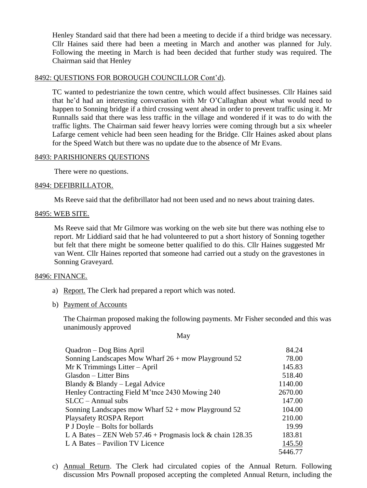Henley Standard said that there had been a meeting to decide if a third bridge was necessary. Cllr Haines said there had been a meeting in March and another was planned for July. Following the meeting in March is had been decided that further study was required. The Chairman said that Henley

### 8492: QUESTIONS FOR BOROUGH COUNCILLOR Cont'd).

TC wanted to pedestrianize the town centre, which would affect businesses. Cllr Haines said that he'd had an interesting conversation with Mr O'Callaghan about what would need to happen to Sonning bridge if a third crossing went ahead in order to prevent traffic using it. Mr Runnalls said that there was less traffic in the village and wondered if it was to do with the traffic lights. The Chairman said fewer heavy lorries were coming through but a six wheeler Lafarge cement vehicle had been seen heading for the Bridge. Cllr Haines asked about plans for the Speed Watch but there was no update due to the absence of Mr Evans.

#### 8493: PARISHIONERS QUESTIONS

There were no questions.

#### 8494: DEFIBRILLATOR.

Ms Reeve said that the defibrillator had not been used and no news about training dates.

#### 8495: WEB SITE.

Ms Reeve said that Mr Gilmore was working on the web site but there was nothing else to report. Mr Liddiard said that he had volunteered to put a short history of Sonning together but felt that there might be someone better qualified to do this. Cllr Haines suggested Mr van Went. Cllr Haines reported that someone had carried out a study on the gravestones in Sonning Graveyard.

#### 8496: FINANCE.

- a) Report. The Clerk had prepared a report which was noted.
- b) Payment of Accounts

The Chairman proposed making the following payments. Mr Fisher seconded and this was unanimously approved

May

| Quadron – Dog Bins April                                    | 84.24   |
|-------------------------------------------------------------|---------|
| Sonning Landscapes Mow Wharf $26 +$ mow Playground 52       | 78.00   |
| $Mr K$ Trimmings Litter – April                             | 145.83  |
| Glasdon – Litter Bins                                       | 518.40  |
| Blandy & Blandy – Legal Advice                              | 1140.00 |
| Henley Contracting Field M'tnce 2430 Mowing 240             | 2670.00 |
| $SLCC - Annual subs$                                        | 147.00  |
| Sonning Landscapes mow Wharf $52 +$ mow Playground 52       | 104.00  |
| <b>Playsafety ROSPA Report</b>                              | 210.00  |
| P J Doyle – Bolts for bollards                              | 19.99   |
| L A Bates – ZEN Web $57.46 +$ Progmasis lock & chain 128.35 | 183.81  |
| L A Bates – Pavilion TV Licence                             | 145.50  |
|                                                             | 5446.77 |

c) Annual Return. The Clerk had circulated copies of the Annual Return. Following discussion Mrs Pownall proposed accepting the completed Annual Return, including the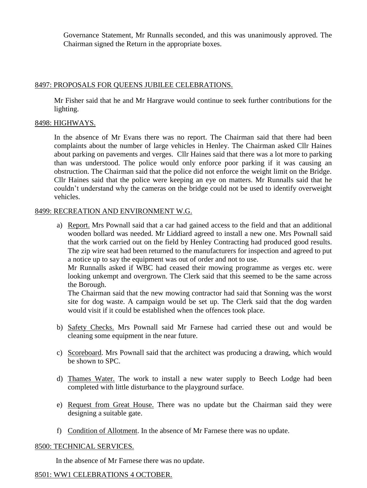Governance Statement, Mr Runnalls seconded, and this was unanimously approved. The Chairman signed the Return in the appropriate boxes.

# 8497: PROPOSALS FOR QUEENS JUBILEE CELEBRATIONS.

Mr Fisher said that he and Mr Hargrave would continue to seek further contributions for the lighting.

# 8498: HIGHWAYS.

In the absence of Mr Evans there was no report. The Chairman said that there had been complaints about the number of large vehicles in Henley. The Chairman asked Cllr Haines about parking on pavements and verges. Cllr Haines said that there was a lot more to parking than was understood. The police would only enforce poor parking if it was causing an obstruction. The Chairman said that the police did not enforce the weight limit on the Bridge. Cllr Haines said that the police were keeping an eye on matters. Mr Runnalls said that he couldn't understand why the cameras on the bridge could not be used to identify overweight vehicles.

### 8499: RECREATION AND ENVIRONMENT W.G.

a) Report. Mrs Pownall said that a car had gained access to the field and that an additional wooden bollard was needed. Mr Liddiard agreed to install a new one. Mrs Pownall said that the work carried out on the field by Henley Contracting had produced good results. The zip wire seat had been returned to the manufacturers for inspection and agreed to put a notice up to say the equipment was out of order and not to use.

Mr Runnalls asked if WBC had ceased their mowing programme as verges etc. were looking unkempt and overgrown. The Clerk said that this seemed to be the same across the Borough.

The Chairman said that the new mowing contractor had said that Sonning was the worst site for dog waste. A campaign would be set up. The Clerk said that the dog warden would visit if it could be established when the offences took place.

- b) Safety Checks. Mrs Pownall said Mr Farnese had carried these out and would be cleaning some equipment in the near future.
- c) Scoreboard. Mrs Pownall said that the architect was producing a drawing, which would be shown to SPC.
- d) Thames Water. The work to install a new water supply to Beech Lodge had been completed with little disturbance to the playground surface.
- e) Request from Great House. There was no update but the Chairman said they were designing a suitable gate.
- f) Condition of Allotment. In the absence of Mr Farnese there was no update.

# 8500: TECHNICAL SERVICES.

In the absence of Mr Farnese there was no update.

# 8501: WW1 CELEBRATIONS 4 OCTOBER.